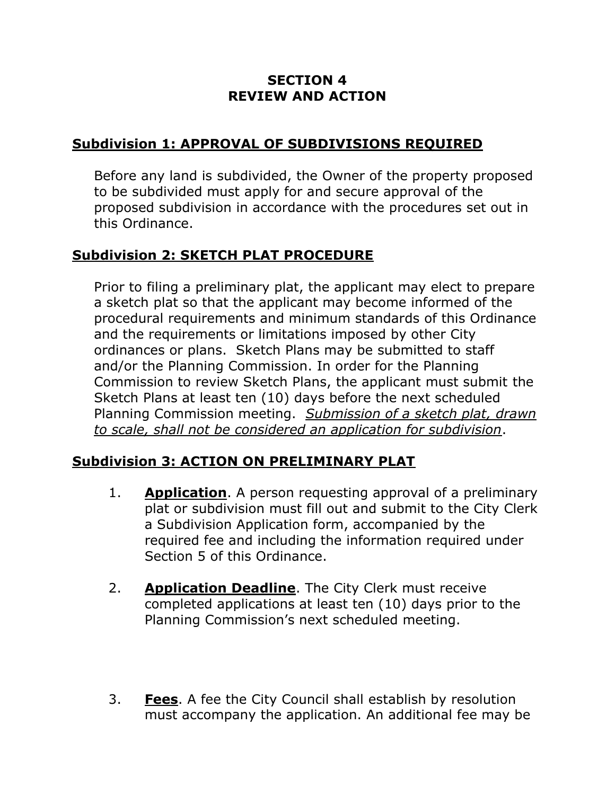## **SECTION 4 REVIEW AND ACTION**

## **Subdivision 1: APPROVAL OF SUBDIVISIONS REQUIRED**

Before any land is subdivided, the Owner of the property proposed to be subdivided must apply for and secure approval of the proposed subdivision in accordance with the procedures set out in this Ordinance.

### **Subdivision 2: SKETCH PLAT PROCEDURE**

Prior to filing a preliminary plat, the applicant may elect to prepare a sketch plat so that the applicant may become informed of the procedural requirements and minimum standards of this Ordinance and the requirements or limitations imposed by other City ordinances or plans. Sketch Plans may be submitted to staff and/or the Planning Commission. In order for the Planning Commission to review Sketch Plans, the applicant must submit the Sketch Plans at least ten (10) days before the next scheduled Planning Commission meeting. *Submission of a sketch plat, drawn to scale, shall not be considered an application for subdivision*.

#### **Subdivision 3: ACTION ON PRELIMINARY PLAT**

- 1. **Application**. A person requesting approval of a preliminary plat or subdivision must fill out and submit to the City Clerk a Subdivision Application form, accompanied by the required fee and including the information required under Section 5 of this Ordinance.
- 2. **Application Deadline**. The City Clerk must receive completed applications at least ten (10) days prior to the Planning Commission's next scheduled meeting.
- 3. **Fees**. A fee the City Council shall establish by resolution must accompany the application. An additional fee may be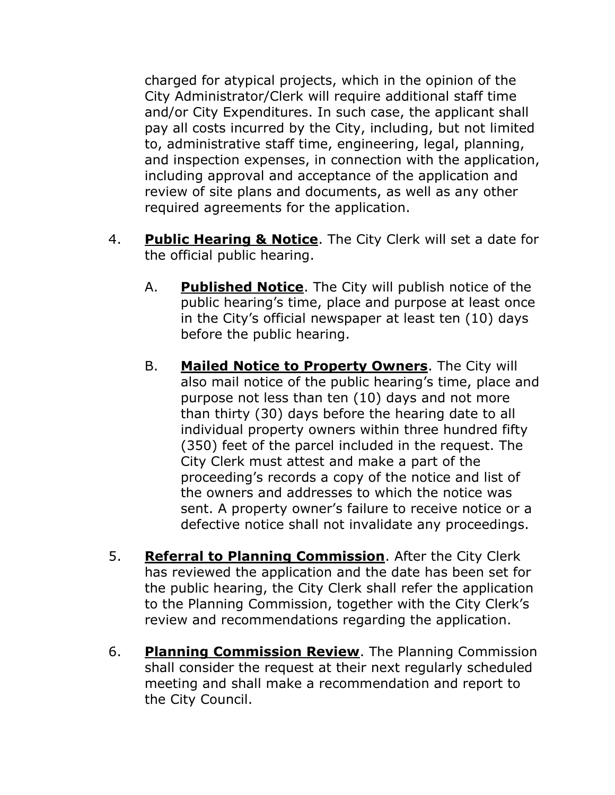charged for atypical projects, which in the opinion of the City Administrator/Clerk will require additional staff time and/or City Expenditures. In such case, the applicant shall pay all costs incurred by the City, including, but not limited to, administrative staff time, engineering, legal, planning, and inspection expenses, in connection with the application, including approval and acceptance of the application and review of site plans and documents, as well as any other required agreements for the application.

- 4. **Public Hearing & Notice**. The City Clerk will set a date for the official public hearing.
	- A. **Published Notice**. The City will publish notice of the public hearing's time, place and purpose at least once in the City's official newspaper at least ten (10) days before the public hearing.
	- B. **Mailed Notice to Property Owners**. The City will also mail notice of the public hearing's time, place and purpose not less than ten (10) days and not more than thirty (30) days before the hearing date to all individual property owners within three hundred fifty (350) feet of the parcel included in the request. The City Clerk must attest and make a part of the proceeding's records a copy of the notice and list of the owners and addresses to which the notice was sent. A property owner's failure to receive notice or a defective notice shall not invalidate any proceedings.
- 5. **Referral to Planning Commission**. After the City Clerk has reviewed the application and the date has been set for the public hearing, the City Clerk shall refer the application to the Planning Commission, together with the City Clerk's review and recommendations regarding the application.
- 6. **Planning Commission Review**. The Planning Commission shall consider the request at their next regularly scheduled meeting and shall make a recommendation and report to the City Council.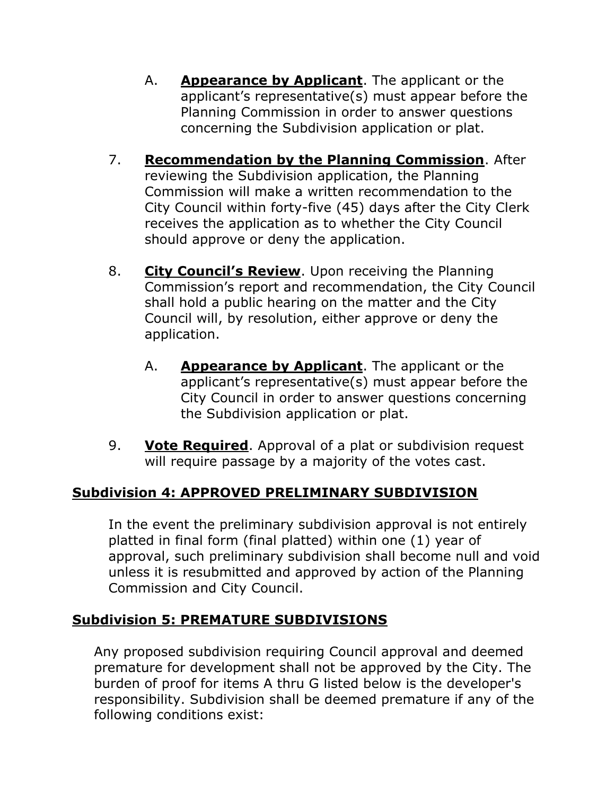- A. **Appearance by Applicant**. The applicant or the applicant's representative(s) must appear before the Planning Commission in order to answer questions concerning the Subdivision application or plat.
- 7. **Recommendation by the Planning Commission**. After reviewing the Subdivision application, the Planning Commission will make a written recommendation to the City Council within forty-five (45) days after the City Clerk receives the application as to whether the City Council should approve or deny the application.
- 8. **City Council's Review**. Upon receiving the Planning Commission's report and recommendation, the City Council shall hold a public hearing on the matter and the City Council will, by resolution, either approve or deny the application.
	- A. **Appearance by Applicant**. The applicant or the applicant's representative(s) must appear before the City Council in order to answer questions concerning the Subdivision application or plat.
- 9. **Vote Required**. Approval of a plat or subdivision request will require passage by a majority of the votes cast.

# **Subdivision 4: APPROVED PRELIMINARY SUBDIVISION**

In the event the preliminary subdivision approval is not entirely platted in final form (final platted) within one (1) year of approval, such preliminary subdivision shall become null and void unless it is resubmitted and approved by action of the Planning Commission and City Council.

# **Subdivision 5: PREMATURE SUBDIVISIONS**

Any proposed subdivision requiring Council approval and deemed premature for development shall not be approved by the City. The burden of proof for items A thru G listed below is the developer's responsibility. Subdivision shall be deemed premature if any of the following conditions exist: